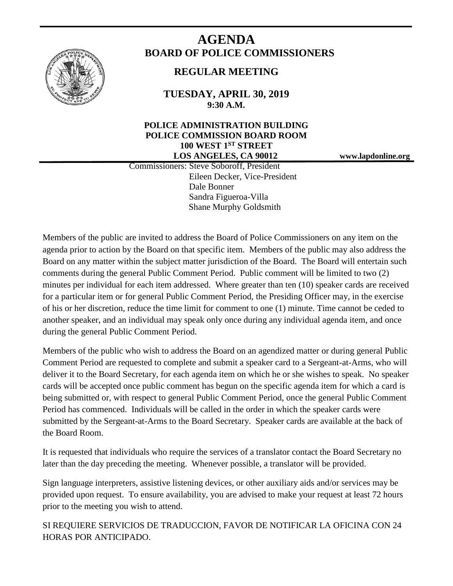

# **AGENDA BOARD OF POLICE COMMISSIONERS**

# **REGULAR MEETING**

**TUESDAY, APRIL 30, 2019 9:30 A.M.**

## **POLICE ADMINISTRATION BUILDING POLICE COMMISSION BOARD ROOM 100 WEST 1ST STREET LOS ANGELES, CA 90012 www.lapdonline.org**

 Commissioners: Steve Soboroff, President Eileen Decker, Vice-President Dale Bonner Sandra Figueroa-Villa Shane Murphy Goldsmith

Members of the public are invited to address the Board of Police Commissioners on any item on the agenda prior to action by the Board on that specific item. Members of the public may also address the Board on any matter within the subject matter jurisdiction of the Board. The Board will entertain such comments during the general Public Comment Period. Public comment will be limited to two (2) minutes per individual for each item addressed. Where greater than ten (10) speaker cards are received for a particular item or for general Public Comment Period, the Presiding Officer may, in the exercise of his or her discretion, reduce the time limit for comment to one (1) minute. Time cannot be ceded to another speaker, and an individual may speak only once during any individual agenda item, and once during the general Public Comment Period.

Members of the public who wish to address the Board on an agendized matter or during general Public Comment Period are requested to complete and submit a speaker card to a Sergeant-at-Arms, who will deliver it to the Board Secretary, for each agenda item on which he or she wishes to speak. No speaker cards will be accepted once public comment has begun on the specific agenda item for which a card is being submitted or, with respect to general Public Comment Period, once the general Public Comment Period has commenced. Individuals will be called in the order in which the speaker cards were submitted by the Sergeant-at-Arms to the Board Secretary. Speaker cards are available at the back of the Board Room.

It is requested that individuals who require the services of a translator contact the Board Secretary no later than the day preceding the meeting. Whenever possible, a translator will be provided.

Sign language interpreters, assistive listening devices, or other auxiliary aids and/or services may be provided upon request. To ensure availability, you are advised to make your request at least 72 hours prior to the meeting you wish to attend.

SI REQUIERE SERVICIOS DE TRADUCCION, FAVOR DE NOTIFICAR LA OFICINA CON 24 HORAS POR ANTICIPADO.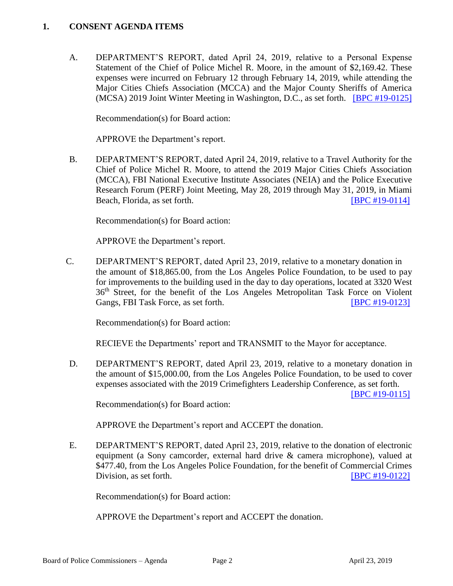#### **1. CONSENT AGENDA ITEMS**

A. DEPARTMENT'S REPORT, dated April 24, 2019, relative to a Personal Expense Statement of the Chief of Police Michel R. Moore, in the amount of \$2,169.42. These expenses were incurred on February 12 through February 14, 2019, while attending the Major Cities Chiefs Association (MCCA) and the Major County Sheriffs of America (MCSA) 2019 Joint Winter Meeting in Washington, D.C., as set forth. [\[BPC #19-0125\]](http://www.lapdpolicecom.lacity.org/043019/BPC_19-0125.pdf)

Recommendation(s) for Board action:

APPROVE the Department's report.

B. DEPARTMENT'S REPORT, dated April 24, 2019, relative to a Travel Authority for the Chief of Police Michel R. Moore, to attend the 2019 Major Cities Chiefs Association (MCCA), FBI National Executive Institute Associates (NEIA) and the Police Executive Research Forum (PERF) Joint Meeting, May 28, 2019 through May 31, 2019, in Miami Beach, Florida, as set forth. **IDEN BEACH EXECUTE:** [\[BPC #19-0114\]](http://www.lapdpolicecom.lacity.org/043019/BPC_19-0114.pdf)

Recommendation(s) for Board action:

APPROVE the Department's report.

C. DEPARTMENT'S REPORT, dated April 23, 2019, relative to a monetary donation in the amount of \$18,865.00, from the Los Angeles Police Foundation, to be used to pay for improvements to the building used in the day to day operations, located at 3320 West 36th Street, for the benefit of the Los Angeles Metropolitan Task Force on Violent Gangs, FBI Task Force, as set forth. [\[BPC #19-0123\]](http://www.lapdpolicecom.lacity.org/043019/BPC_19-0123.pdf)

Recommendation(s) for Board action:

RECIEVE the Departments' report and TRANSMIT to the Mayor for acceptance.

D. DEPARTMENT'S REPORT, dated April 23, 2019, relative to a monetary donation in the amount of \$15,000.00, from the Los Angeles Police Foundation, to be used to cover expenses associated with the 2019 Crimefighters Leadership Conference, as set forth.

[\[BPC #19-0115\]](http://www.lapdpolicecom.lacity.org/043019/BPC_19-0115.pdf)

Recommendation(s) for Board action:

APPROVE the Department's report and ACCEPT the donation.

E. DEPARTMENT'S REPORT, dated April 23, 2019, relative to the donation of electronic equipment (a Sony camcorder, external hard drive & camera microphone), valued at \$477.40, from the Los Angeles Police Foundation, for the benefit of Commercial Crimes Division, as set forth. **[\[BPC #19-0122\]](http://www.lapdpolicecom.lacity.org/043019/BPC_19-0122.pdf)** 

Recommendation(s) for Board action:

APPROVE the Department's report and ACCEPT the donation.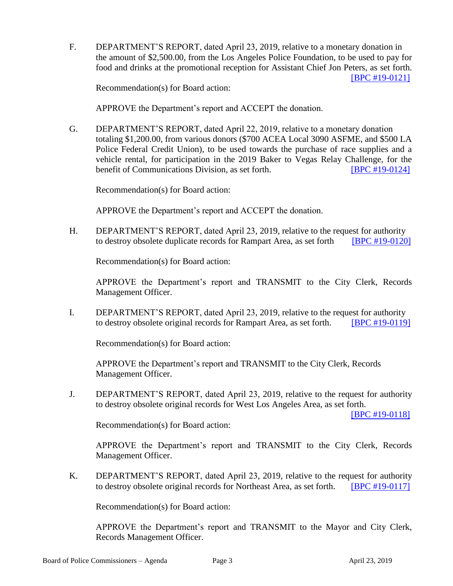F. DEPARTMENT'S REPORT, dated April 23, 2019, relative to a monetary donation in the amount of \$2,500.00, from the Los Angeles Police Foundation, to be used to pay for food and drinks at the promotional reception for Assistant Chief Jon Peters, as set forth. [\[BPC #19-0121\]](http://www.lapdpolicecom.lacity.org/043019/BPC_19-0121.pdf)

Recommendation(s) for Board action:

APPROVE the Department's report and ACCEPT the donation.

G. DEPARTMENT'S REPORT, dated April 22, 2019, relative to a monetary donation totaling \$1,200.00, from various donors (\$700 ACEA Local 3090 ASFME, and \$500 LA Police Federal Credit Union), to be used towards the purchase of race supplies and a vehicle rental, for participation in the 2019 Baker to Vegas Relay Challenge, for the benefit of Communications Division, as set forth. **[\[BPC #19-0124\]](http://www.lapdpolicecom.lacity.org/043019/BPC_19-0124.pdf)** 

Recommendation(s) for Board action:

APPROVE the Department's report and ACCEPT the donation.

H. DEPARTMENT'S REPORT, dated April 23, 2019, relative to the request for authority to destroy obsolete duplicate records for Rampart Area, as set forth [\[BPC #19-0120\]](http://www.lapdpolicecom.lacity.org/043019/BPC_19-0120.pdf)

Recommendation(s) for Board action:

APPROVE the Department's report and TRANSMIT to the City Clerk, Records Management Officer.

I. DEPARTMENT'S REPORT, dated April 23, 2019, relative to the request for authority to destroy obsolete original records for Rampart Area, as set forth. [\[BPC #19-0119\]](http://www.lapdpolicecom.lacity.org/043019/BPC_19-0119.pdf)

Recommendation(s) for Board action:

APPROVE the Department's report and TRANSMIT to the City Clerk, Records Management Officer.

J. DEPARTMENT'S REPORT, dated April 23, 2019, relative to the request for authority to destroy obsolete original records for West Los Angeles Area, as set forth.

[\[BPC #19-0118\]](http://www.lapdpolicecom.lacity.org/043019/BPC_19-0118.pdf)

Recommendation(s) for Board action:

APPROVE the Department's report and TRANSMIT to the City Clerk, Records Management Officer.

K. DEPARTMENT'S REPORT, dated April 23, 2019, relative to the request for authority to destroy obsolete original records for Northeast Area, as set forth. [\[BPC #19-0117\]](http://www.lapdpolicecom.lacity.org/043019/BPC_19-0117.pdf)

Recommendation(s) for Board action:

APPROVE the Department's report and TRANSMIT to the Mayor and City Clerk, Records Management Officer.